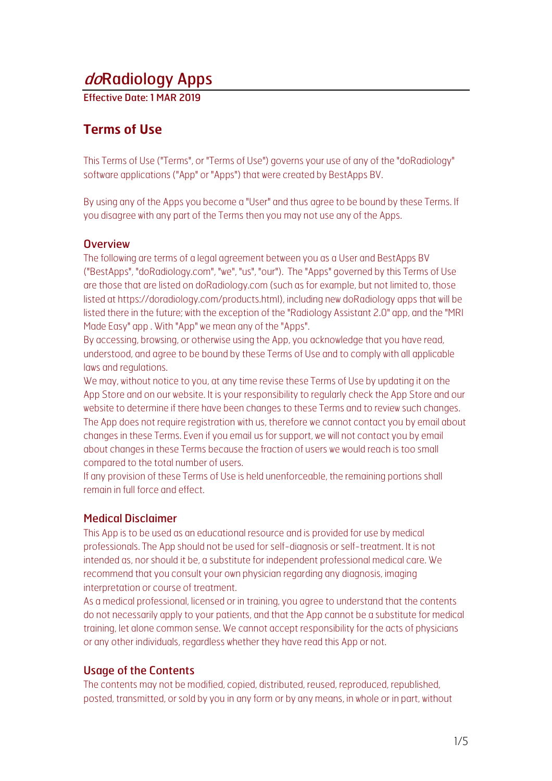# doRadiology Apps

Effective Date: 1 MAR 2019

## **Terms of Use**

This Terms of Use ("Terms", or "Terms of Use") governs your use of any of the "doRadiology" software applications ("App" or "Apps") that were created by BestApps BV.

By using any of the Apps you become a "User" and thus agree to be bound by these Terms. If you disagree with any part of the Terms then you may not use any of the Apps.

#### **Overview**

The following are terms of a legal agreement between you as a User and BestApps BV ("BestApps", "doRadiology.com", "we", "us", "our"). The "Apps" governed by this Terms of Use are those that are listed on doRadiology.com (such as for example, but not limited to, those listed at https://doradiology.com/products.html), including new doRadiology apps that will be listed there in the future; with the exception of the "Radiology Assistant 2.0" app, and the "MRI Made Easy" app . With "App" we mean any of the "Apps".

By accessing, browsing, or otherwise using the App, you acknowledge that you have read, understood, and agree to be bound by these Terms of Use and to comply with all applicable laws and regulations.

We may, without notice to you, at any time revise these Terms of Use by updating it on the App Store and on our website. It is your responsibility to regularly check the App Store and our website to determine if there have been changes to these Terms and to review such changes. The App does not require registration with us, therefore we cannot contact you by email about changes in these Terms. Even if you email us for support, we will not contact you by email about changes in these Terms because the fraction of users we would reach is too small compared to the total number of users.

If any provision of these Terms of Use is held unenforceable, the remaining portions shall remain in full force and effect.

## Medical Disclaimer

This App is to be used as an educational resource and is provided for use by medical professionals. The App should not be used for self-diagnosis or self-treatment. It is not intended as, nor should it be, a substitute for independent professional medical care. We recommend that you consult your own physician regarding any diagnosis, imaging interpretation or course of treatment.

As a medical professional, licensed or in training, you agree to understand that the contents do not necessarily apply to your patients, and that the App cannot be a substitute for medical training, let alone common sense. We cannot accept responsibility for the acts of physicians or any other individuals, regardless whether they have read this App or not.

## Usage of the Contents

The contents may not be modified, copied, distributed, reused, reproduced, republished, posted, transmitted, or sold by you in any form or by any means, in whole or in part, without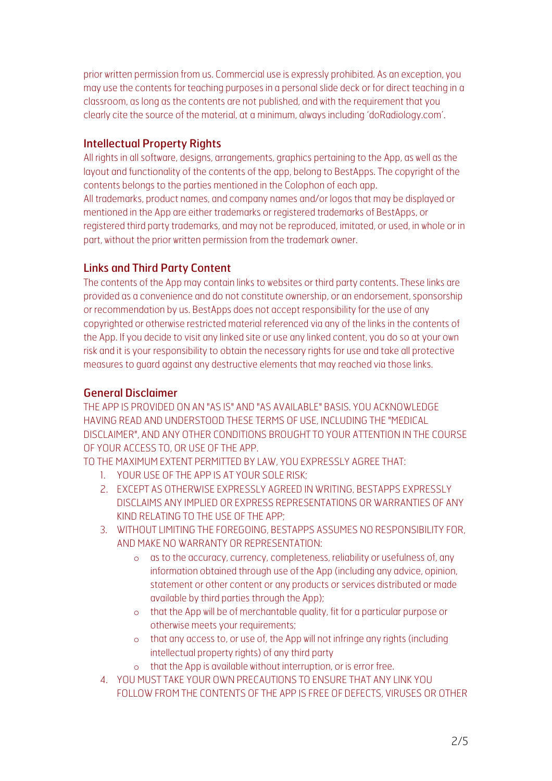prior written permission from us. Commercial use is expressly prohibited. As an exception, you may use the contents for teaching purposes in a personal slide deck or for direct teaching in a classroom, as long as the contents are not published, and with the requirement that you clearly cite the source of the material, at a minimum, always including 'doRadiology.com'.

#### Intellectual Property Rights

All rights in all software, designs, arrangements, graphics pertaining to the App, as well as the layout and functionality of the contents of the app, belong to BestApps. The copyright of the contents belongs to the parties mentioned in the Colophon of each app. All trademarks, product names, and company names and/or logos that may be displayed or mentioned in the App are either trademarks or registered trademarks of BestApps, or registered third party trademarks, and may not be reproduced, imitated, or used, in whole or in part, without the prior written permission from the trademark owner.

## Links and Third Party Content

The contents of the App may contain links to websites or third party contents. These links are provided as a convenience and do not constitute ownership, or an endorsement, sponsorship or recommendation by us. BestApps does not accept responsibility for the use of any copyrighted or otherwise restricted material referenced via any of the links in the contents of the App. If you decide to visit any linked site or use any linked content, you do so at your own risk and it is your responsibility to obtain the necessary rights for use and take all protective measures to guard against any destructive elements that may reached via those links.

#### General Disclaimer

THE APP IS PROVIDED ON AN "AS IS" AND "AS AVAILABLE" BASIS. YOU ACKNOWLEDGE HAVING READ AND UNDERSTOOD THESE TERMS OF USE, INCLUDING THE "MEDICAL DISCLAIMER", AND ANY OTHER CONDITIONS BROUGHT TO YOUR ATTENTION IN THE COURSE OF YOUR ACCESS TO, OR USE OF THE APP.

TO THE MAXIMUM EXTENT PERMITTED BY LAW, YOU EXPRESSLY AGREE THAT:

- 1. YOUR USE OF THE APP IS AT YOUR SOLE RISK;
- 2. EXCEPT AS OTHERWISE EXPRESSLY AGREED IN WRITING, BESTAPPS EXPRESSLY DISCLAIMS ANY IMPLIED OR EXPRESS REPRESENTATIONS OR WARRANTIES OF ANY KIND RELATING TO THE USE OF THE APP;
- 3. WITHOUT LIMITING THE FOREGOING, BESTAPPS ASSUMES NO RESPONSIBILITY FOR, AND MAKE NO WARRANTY OR REPRESENTATION:
	- o as to the accuracy, currency, completeness, reliability or usefulness of, any information obtained through use of the App (including any advice, opinion, statement or other content or any products or services distributed or made available by third parties through the App);
	- o that the App will be of merchantable quality, fit for a particular purpose or otherwise meets your requirements;
	- o that any access to, or use of, the App will not infringe any rights (including intellectual property rights) of any third party
	- o that the App is available without interruption, or is error free.
- 4. YOU MUST TAKE YOUR OWN PRECAUTIONS TO ENSURE THAT ANY LINK YOU FOLLOW FROM THE CONTENTS OF THE APP IS FREE OF DEFECTS, VIRUSES OR OTHER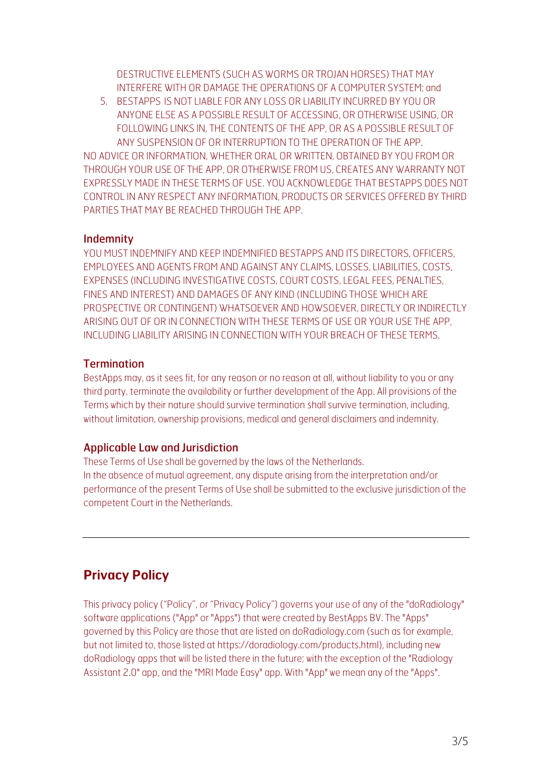DESTRUCTIVE ELEMENTS (SUCH AS WORMS OR TROJAN HORSES) THAT MAY INTERFERE WITH OR DAMAGE THE OPERATIONS OF A COMPUTER SYSTEM; and

5. BESTAPPS IS NOT LIABLE FOR ANY LOSS OR LIABILITY INCURRED BY YOU OR ANYONE ELSE AS A POSSIBLE RESULT OF ACCESSING, OR OTHERWISE USING, OR FOLLOWING LINKS IN, THE CONTENTS OF THE APP, OR AS A POSSIBLE RESULT OF ANY SUSPENSION OF OR INTERRUPTION TO THE OPERATION OF THE APP.

NO ADVICE OR INFORMATION, WHETHER ORAL OR WRITTEN, OBTAINED BY YOU FROM OR THROUGH YOUR USE OF THE APP, OR OTHERWISE FROM US, CREATES ANY WARRANTY NOT EXPRESSLY MADE IN THESE TERMS OF USE. YOU ACKNOWLEDGE THAT BESTAPPS DOES NOT CONTROL IN ANY RESPECT ANY INFORMATION, PRODUCTS OR SERVICES OFFERED BY THIRD PARTIES THAT MAY BE REACHED THROUGH THE APP.

#### Indemnity

YOU MUST INDEMNIFY AND KEEP INDEMNIFIED BESTAPPS AND ITS DIRECTORS, OFFICERS, EMPLOYEES AND AGENTS FROM AND AGAINST ANY CLAIMS, LOSSES, LIABILITIES, COSTS, EXPENSES (INCLUDING INVESTIGATIVE COSTS, COURT COSTS, LEGAL FEES, PENALTIES, FINES AND INTEREST) AND DAMAGES OF ANY KIND (INCLUDING THOSE WHICH ARE PROSPECTIVE OR CONTINGENT) WHATSOEVER AND HOWSOEVER, DIRECTLY OR INDIRECTLY ARISING OUT OF OR IN CONNECTION WITH THESE TERMS OF USE OR YOUR USE THE APP, INCLUDING LIABILITY ARISING IN CONNECTION WITH YOUR BREACH OF THESE TERMS.

## **Termination**

BestApps may, as it sees fit, for any reason or no reason at all, without liability to you or any third party, terminate the availability or further development of the App. All provisions of the Terms which by their nature should survive termination shall survive termination, including, without limitation, ownership provisions, medical and general disclaimers and indemnity.

## Applicable Law and Jurisdiction

These Terms of Use shall be governed by the laws of the Netherlands. In the absence of mutual agreement, any dispute arising from the interpretation and/or performance of the present Terms of Use shall be submitted to the exclusive jurisdiction of the competent Court in the Netherlands.

## **Privacy Policy**

This privacy policy ("Policy", or "Privacy Policy") governs your use of any of the "doRadiology" software applications ("App" or "Apps") that were created by BestApps BV. The "Apps" governed by this Policy are those that are listed on doRadiology.com (such as for example, but not limited to, those listed at https://doradiology.com/products.html), including new doRadiology apps that will be listed there in the future; with the exception of the "Radiology Assistant 2.0" app, and the "MRI Made Easy" app. With "App" we mean any of the "Apps".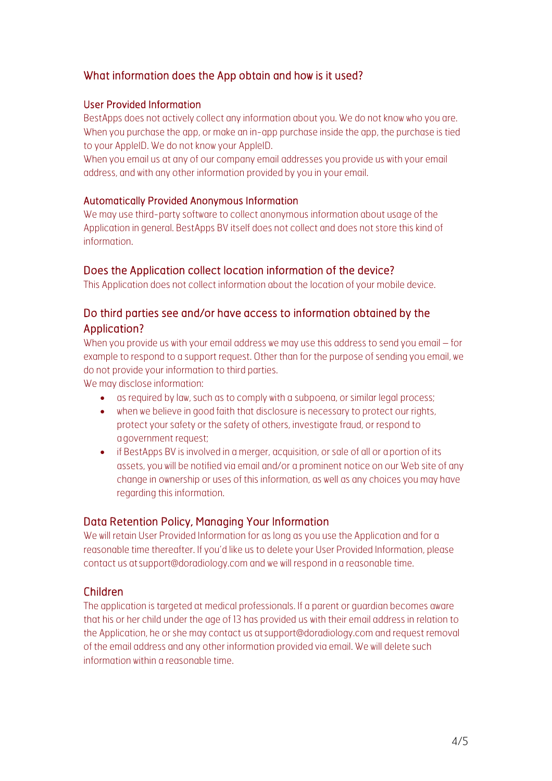## What information does the App obtain and how is it used?

#### User Provided Information

BestApps does not actively collect any information about you. We do not know who you are. When you purchase the app, or make an in-app purchase inside the app, the purchase is tied to your AppleID. We do not know your AppleID.

When you email us at any of our company email addresses you provide us with your email address, and with any other information provided by you in your email.

#### Automatically Provided Anonymous Information

We may use third-party software to collect anonymous information about usage of the Application in general. BestApps BV itself does not collect and does not store this kind of information.

## Does the Application collect location information of the device?

This Application does not collect information about the location of your mobile device.

## Do third parties see and/or have access to information obtained by the Application?

When you provide us with your email address we may use this address to send you email – for example to respond to a support request. Other than for the purpose of sending you email, we do not provide your information to third parties.

We may disclose information:

- as required by law, such as to comply with a subpoena, or similar legal process;
- when we believe in good faith that disclosure is necessary to protect our rights, protect your safety or the safety of others, investigate fraud, or respond to agovernment request;
- if BestApps BV is involved in a merger, acquisition, or sale of all or aportion of its assets, you will be notified via email and/or a prominent notice on our Web site of any change in ownership or uses of this information, as well as any choices you may have regarding this information.

## Data Retention Policy, Managing Your Information

We will retain User Provided Information for as long as you use the Application and for a reasonable time thereafter. If you'd like us to delete your User Provided Information, please contact us at support@doradiology.com and we will respond in a reasonable time.

## Children

The application is targeted at medical professionals. If a parent or guardian becomes aware that his or her child under the age of 13 has provided us with their email address in relation to the Application, he or she may contact us at support@doradiology.com and request removal of the email address and any other information provided via email. We will delete such information within a reasonable time.